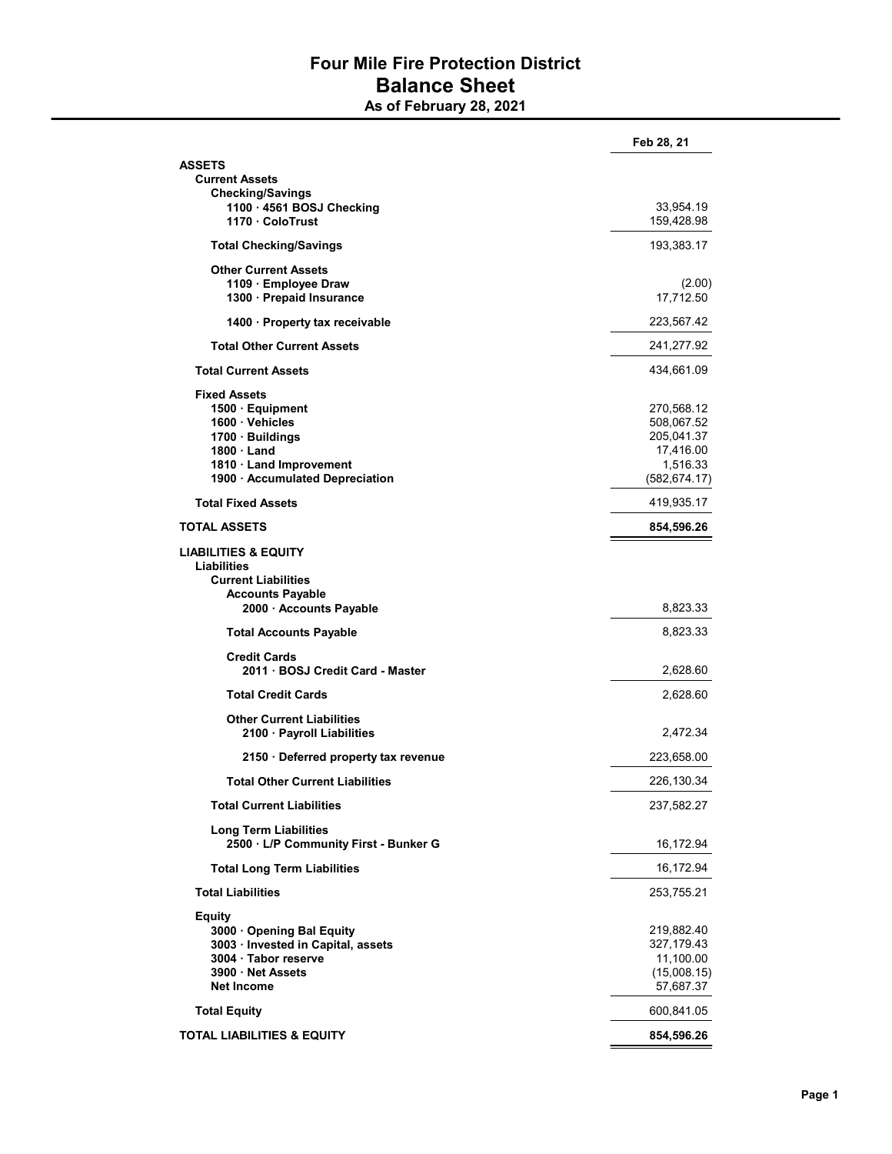## Four Mile Fire Protection District Balance Sheet

As of February 28, 2021

|                                                                       | Feb 28, 21              |
|-----------------------------------------------------------------------|-------------------------|
| <b>ASSETS</b>                                                         |                         |
| <b>Current Assets</b>                                                 |                         |
| <b>Checking/Savings</b><br>1100 · 4561 BOSJ Checking                  |                         |
| 1170 ColoTrust                                                        | 33,954.19<br>159,428.98 |
| <b>Total Checking/Savings</b>                                         | 193,383.17              |
| <b>Other Current Assets</b>                                           |                         |
| 1109 Employee Draw                                                    | (2.00)                  |
| 1300 · Prepaid Insurance                                              | 17,712.50               |
| 1400 Property tax receivable                                          | 223,567.42              |
| <b>Total Other Current Assets</b>                                     | 241,277.92              |
| <b>Total Current Assets</b>                                           | 434,661.09              |
| <b>Fixed Assets</b>                                                   |                         |
| 1500 · Equipment                                                      | 270,568.12              |
| 1600 · Vehicles                                                       | 508,067.52              |
| 1700 · Buildings                                                      | 205,041.37              |
| $1800 \cdot$ Land<br>1810 Land Improvement                            | 17,416.00<br>1,516.33   |
| 1900 · Accumulated Depreciation                                       | (582, 674.17)           |
| <b>Total Fixed Assets</b>                                             | 419,935.17              |
| <b>TOTAL ASSETS</b>                                                   | 854,596.26              |
| <b>LIABILITIES &amp; EQUITY</b>                                       |                         |
| Liabilities                                                           |                         |
| <b>Current Liabilities</b>                                            |                         |
| <b>Accounts Payable</b><br>2000 · Accounts Payable                    | 8,823.33                |
| <b>Total Accounts Payable</b>                                         | 8,823.33                |
| <b>Credit Cards</b>                                                   |                         |
| 2011 · BOSJ Credit Card - Master                                      | 2,628.60                |
| <b>Total Credit Cards</b>                                             | 2,628.60                |
| <b>Other Current Liabilities</b>                                      |                         |
| 2100 · Payroll Liabilities                                            | 2,472.34                |
| 2150 · Deferred property tax revenue                                  | 223,658.00              |
| <b>Total Other Current Liabilities</b>                                | 226,130.34              |
| <b>Total Current Liabilities</b>                                      | 237,582.27              |
| <b>Long Term Liabilities</b><br>2500 · L/P Community First - Bunker G | 16,172.94               |
| <b>Total Long Term Liabilities</b>                                    | 16,172.94               |
| <b>Total Liabilities</b>                                              |                         |
|                                                                       | 253,755.21              |
| <b>Equity</b><br>3000 Opening Bal Equity                              | 219,882.40              |
| 3003 · Invested in Capital, assets                                    | 327,179.43              |
| 3004 · Tabor reserve                                                  | 11,100.00               |
| 3900 Net Assets                                                       | (15,008.15)             |
| <b>Net Income</b>                                                     | 57,687.37               |
| <b>Total Equity</b>                                                   | 600,841.05              |
| <b>TOTAL LIABILITIES &amp; EQUITY</b>                                 | 854,596.26              |